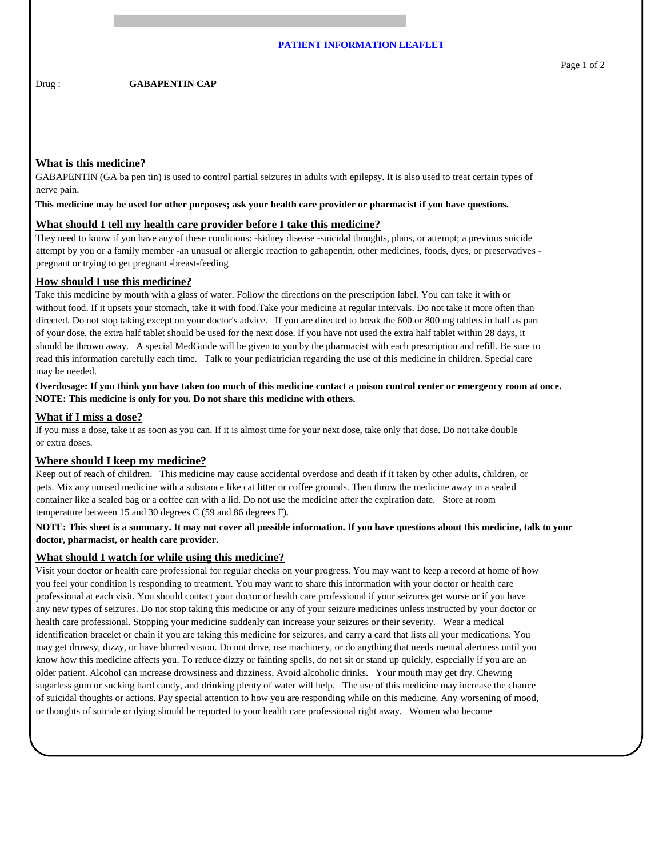Drug : **GABAPENTIN CAP** 

GABAPENTIN (GA ba pen tin) is used to control partial seizures in adults with epilepsy. It is also used to treat certain types of nerve pain.

#### **This medicine may be used for other purposes; ask your health care provider or pharmacist if you have questions.**

#### **What should I tell my health care provider before I take this medicine?**

They need to know if you have any of these conditions: -kidney disease -suicidal thoughts, plans, or attempt; a previous suicide attempt by you or a family member -an unusual or allergic reaction to gabapentin, other medicines, foods, dyes, or preservatives pregnant or trying to get pregnant -breast-feeding

### **How should I use this medicine?**

Take this medicine by mouth with a glass of water. Follow the directions on the prescription label. You can take it with or without food. If it upsets your stomach, take it with food.Take your medicine at regular intervals. Do not take it more often than directed. Do not stop taking except on your doctor's advice. If you are directed to break the 600 or 800 mg tablets in half as part of your dose, the extra half tablet should be used for the next dose. If you have not used the extra half tablet within 28 days, it should be thrown away. A special MedGuide will be given to you by the pharmacist with each prescription and refill. Be sure to read this information carefully each time. Talk to your pediatrician regarding the use of this medicine in children. Special care may be needed.

**Overdosage: If you think you have taken too much of this medicine contact a poison control center or emergency room at once. NOTE: This medicine is only for you. Do not share this medicine with others.**

# **What if I miss a dose?**

If you miss a dose, take it as soon as you can. If it is almost time for your next dose, take only that dose. Do not take double or extra doses.

# **Where should I keep my medicine?**

Keep out of reach of children. This medicine may cause accidental overdose and death if it taken by other adults, children, or pets. Mix any unused medicine with a substance like cat litter or coffee grounds. Then throw the medicine away in a sealed container like a sealed bag or a coffee can with a lid. Do not use the medicine after the expiration date. Store at room temperature between 15 and 30 degrees C (59 and 86 degrees F).

#### **NOTE: This sheet is a summary. It may not cover all possible information. If you have questions about this medicine, talk to your doctor, pharmacist, or health care provider.**

# **What should I watch for while using this medicine?**

Visit your doctor or health care professional for regular checks on your progress. You may want to keep a record at home of how you feel your condition is responding to treatment. You may want to share this information with your doctor or health care professional at each visit. You should contact your doctor or health care professional if your seizures get worse or if you have any new types of seizures. Do not stop taking this medicine or any of your seizure medicines unless instructed by your doctor or health care professional. Stopping your medicine suddenly can increase your seizures or their severity. Wear a medical identification bracelet or chain if you are taking this medicine for seizures, and carry a card that lists all your medications. You may get drowsy, dizzy, or have blurred vision. Do not drive, use machinery, or do anything that needs mental alertness until you know how this medicine affects you. To reduce dizzy or fainting spells, do not sit or stand up quickly, especially if you are an older patient. Alcohol can increase drowsiness and dizziness. Avoid alcoholic drinks. Your mouth may get dry. Chewing sugarless gum or sucking hard candy, and drinking plenty of water will help. The use of this medicine may increase the chance of suicidal thoughts or actions. Pay special attention to how you are responding while on this medicine. Any worsening of mood, or thoughts of suicide or dying should be reported to your health care professional right away. Women who become